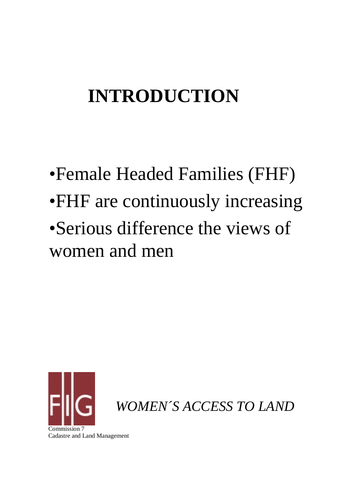### **INTRODUCTION**

# •Female Headed Families (FHF) •FHF are continuously increasing •Serious difference the views of women and men



*WOMEN´S ACCESS TO LAND*

Cadastre and Land Management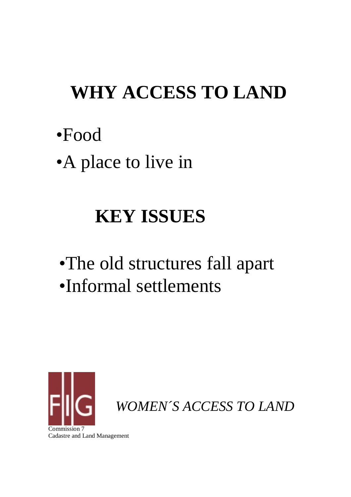### **WHY ACCESS TO LAND**

- •Food
- •A place to live in

## **KEY ISSUES**

•The old structures fall apart •Informal settlements

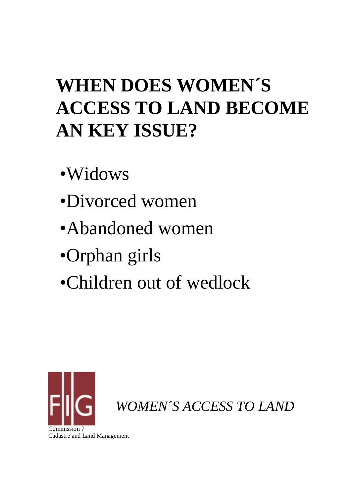## **WHEN DOES WOMEN´S ACCESS TO LAND BECOME AN KEY ISSUE?**

- •Widows
- •Divorced women
- •Abandoned women
- •Orphan girls
- •Children out of wedlock

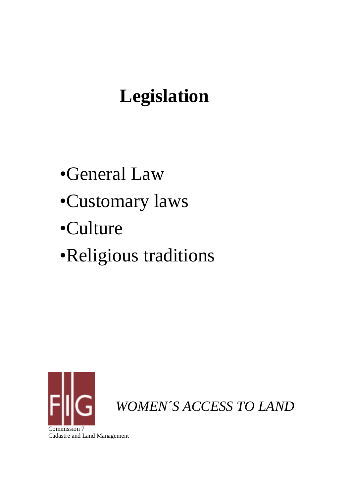### **Legislation**

- •General Law
- •Customary laws
- •Culture
- •Religious traditions

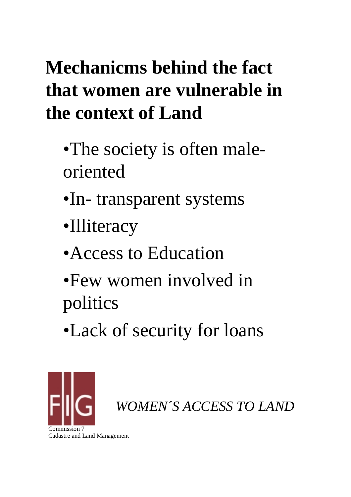## **Mechanicms behind the fact that women are vulnerable in the context of Land**

- •The society is often maleoriented
- •In- transparent systems
- •Illiteracy
- •Access to Education
- •Few women involved in politics
- •Lack of security for loans

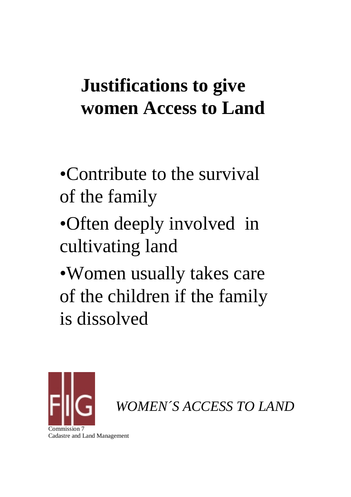#### **Justifications to give women Access to Land**

- •Contribute to the survival of the family
- •Often deeply involved in cultivating land
- •Women usually takes care of the children if the family is dissolved

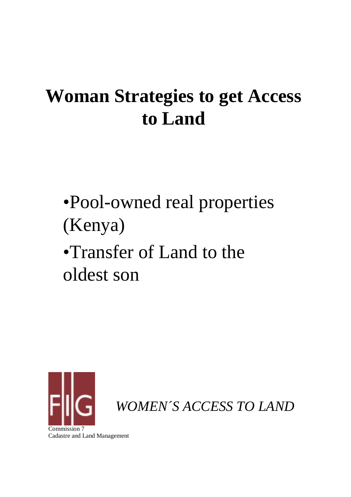#### **Woman Strategies to get Access to Land**

•Pool-owned real properties (Kenya) •Transfer of Land to the

oldest son



*WOMEN´S ACCESS TO LAND*

Cadastre and Land Management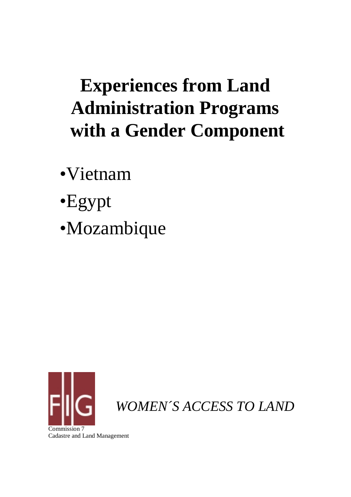### **Experiences from Land Administration Programs with a Gender Component**

•Vietnam

- •Egypt
- •Mozambique

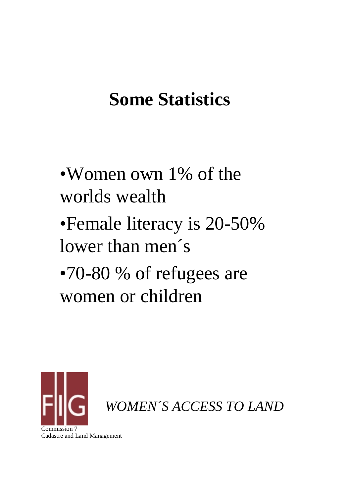#### **Some Statistics**

- •Women own 1% of the worlds wealth
- •Female literacy is 20-50% lower than men's
- •70-80 % of refugees are women or children



*WOMEN´S ACCESS TO LAND*

Commission 7 Cadastre and Land Management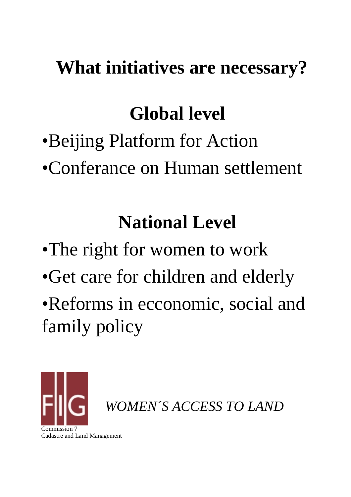#### **What initiatives are necessary?**

### **Global level**

- •Beijing Platform for Action
- •Conferance on Human settlement

## **National Level**

- •The right for women to work
- •Get care for children and elderly
- •Reforms in ecconomic, social and family policy



*WOMEN´S ACCESS TO LAND*

Commission<sub>2</sub> Cadastre and Land Management